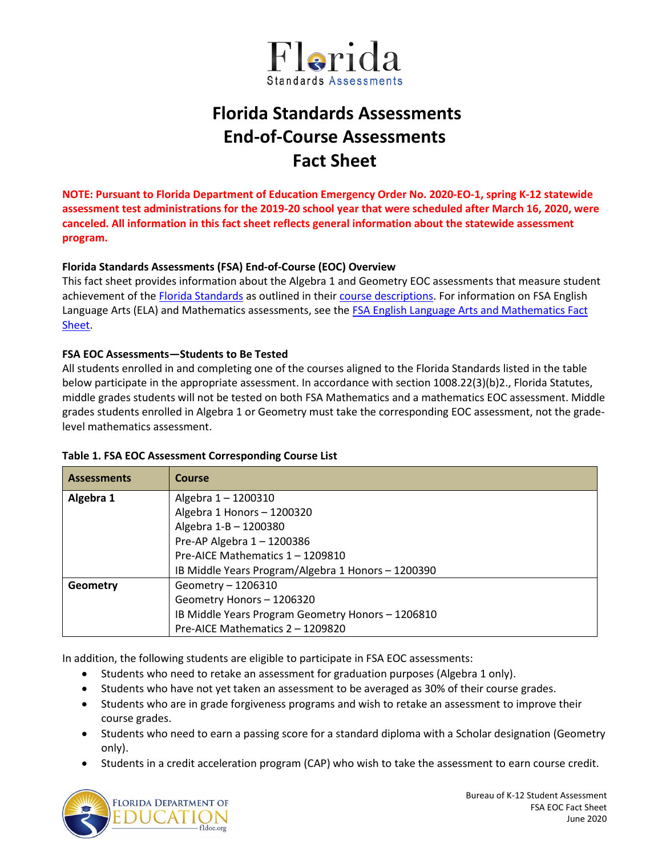

# **Florida Standards Assessments End-of-Course Assessments Fact Sheet**

**NOTE: Pursuant to Florida Department of Education Emergency Order No. 2020-EO-1, spring K-12 statewide assessment test administrations for the 2019-20 school year that were scheduled after March 16, 2020, were canceled. All information in this fact sheet reflects general information about the statewide assessment program.**

# **Florida Standards Assessments (FSA) End-of-Course (EOC) Overview**

This fact sheet provides information about the Algebra 1 and Geometry EOC assessments that measure student achievement of the [Florida Standards](http://www.cpalms.org/Public/) as outlined in their [course descriptions.](http://www.cpalms.org/Public/search/Course#0) For information on FSA English Language Arts (ELA) and Mathematics assessments, see the [FSA English Language Arts and Mathematics Fact](http://www.fldoe.org/core/fileparse.php/5663/urlt/FSAELA-MathFS1920.pdf)  [Sheet.](http://www.fldoe.org/core/fileparse.php/5663/urlt/FSAELA-MathFS1920.pdf)

## **FSA EOC Assessments—Students to Be Tested**

All students enrolled in and completing one of the courses aligned to the Florida Standards listed in the table below participate in the appropriate assessment. In accordance with section 1008.22(3)(b)2., Florida Statutes, middle grades students will not be tested on both FSA Mathematics and a mathematics EOC assessment. Middle grades students enrolled in Algebra 1 or Geometry must take the corresponding EOC assessment, not the gradelevel mathematics assessment.

#### **Table 1. FSA EOC Assessment Corresponding Course List**

| <b>Assessments</b> | Course                                             |
|--------------------|----------------------------------------------------|
| Algebra 1          | Algebra 1-1200310                                  |
|                    | Algebra 1 Honors - 1200320                         |
|                    | Algebra 1-B - 1200380                              |
|                    | Pre-AP Algebra 1-1200386                           |
|                    | Pre-AICE Mathematics 1 - 1209810                   |
|                    | IB Middle Years Program/Algebra 1 Honors - 1200390 |
| Geometry           | Geometry - 1206310                                 |
|                    | Geometry Honors - 1206320                          |
|                    | IB Middle Years Program Geometry Honors - 1206810  |
|                    | Pre-AICE Mathematics 2 - 1209820                   |

In addition, the following students are eligible to participate in FSA EOC assessments:

- Students who need to retake an assessment for graduation purposes (Algebra 1 only).
- Students who have not yet taken an assessment to be averaged as 30% of their course grades.
- Students who are in grade forgiveness programs and wish to retake an assessment to improve their course grades.
- Students who need to earn a passing score for a standard diploma with a Scholar designation (Geometry only).
- Students in a credit acceleration program (CAP) who wish to take the assessment to earn course credit.

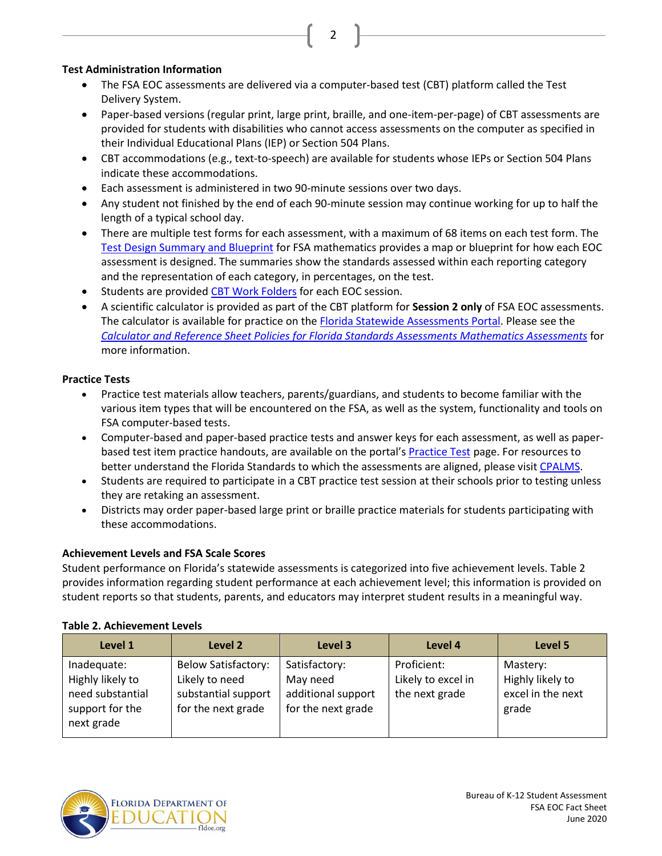## **Test Administration Information**

• The FSA EOC assessments are delivered via a computer-based test (CBT) platform called the Test Delivery System.

2

- Paper-based versions (regular print, large print, braille, and one-item-per-page) of CBT assessments are provided for students with disabilities who cannot access assessments on the computer as specified in their Individual Educational Plans (IEP) or Section 504 Plans.
- CBT accommodations (e.g., text-to-speech) are available for students whose IEPs or Section 504 Plans indicate these accommodations.
- Each assessment is administered in two 90-minute sessions over two days.
- Any student not finished by the end of each 90-minute session may continue working for up to half the length of a typical school day.
- There are multiple test forms for each assessment, with a maximum of 68 items on each test form. The [Test Design Summary and Blueprint](https://fsassessments.org/florida-statewide-assessment-program/about-the-fsas.stml) for FSA mathematics provides a map or blueprint for how each EOC assessment is designed. The summaries show the standards assessed within each reporting category and the representation of each category, in percentages, on the test.
- Students are provided [CBT Work Folders](https://fsassessments.org/core/fileparse.php/3031/urlt/FSA_SP18_CBT-Work-Folder_BL1_FDOE.pdf) for each EOC session.
- A scientific calculator is provided as part of the CBT platform for **Session 2 only** of FSA EOC assessments. The calculator is available for practice on the [Florida Statewide Assessments](http://www.fsassessments.org/) Portal. Please see the *[Calculator and Reference Sheet Policies for Florida Standards Assessments](http://www.fldoe.org/core/fileparse.php/5663/urlt/FSACalcRefSheetPolicy.pdf) Mathematics Assessments* for more information.

## **Practice Tests**

- Practice test materials allow teachers, parents/guardians, and students to become familiar with the various item types that will be encountered on the FSA, as well as the system, functionality and tools on FSA computer-based tests.
- Computer-based and paper-based practice tests and answer keys for each assessment, as well as paperbased test item practice handouts, are available on the portal's [Practice Test](https://fsassessments.org/students-and-families/practice-tests/index.stml) page. For resources to better understand the Florida Standards to which the assessments are aligned, please visi[t CPALMS.](http://www.cpalms.org/Public/)
- Students are required to participate in a CBT practice test session at their schools prior to testing unless they are retaking an assessment.
- Districts may order paper-based large print or braille practice materials for students participating with these accommodations.

# **Achievement Levels and FSA Scale Scores**

Student performance on Florida's statewide assessments is categorized into five achievement levels. Table 2 provides information regarding student performance at each achievement level; this information is provided on student reports so that students, parents, and educators may interpret student results in a meaningful way.

#### **Table 2. Achievement Levels**

| Level 1                                                                              | Level 2                                                                                   | Level 3                                                               | Level 4                                             | Level 5                                                    |
|--------------------------------------------------------------------------------------|-------------------------------------------------------------------------------------------|-----------------------------------------------------------------------|-----------------------------------------------------|------------------------------------------------------------|
| Inadequate:<br>Highly likely to<br>need substantial<br>support for the<br>next grade | <b>Below Satisfactory:</b><br>Likely to need<br>substantial support<br>for the next grade | Satisfactory:<br>May need<br>additional support<br>for the next grade | Proficient:<br>Likely to excel in<br>the next grade | Mastery:<br>Highly likely to<br>excel in the next<br>grade |